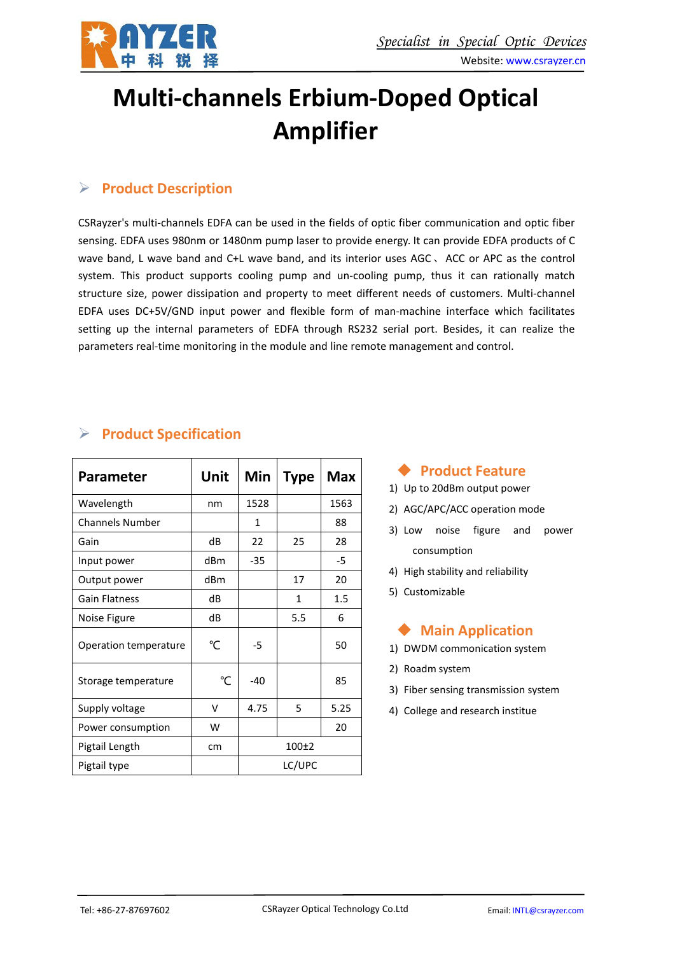

# **Multi-channels Erbium-Doped Optical Amplifier**

# **Product Description**

CSRayzer's multi-channels EDFA can be used in the fields of optic fiber communication and optic fiber sensing. EDFA uses 980nm or 1480nm pump laser to provide energy. It can provide EDFA products of C wave band, L wave band and C+L wave band, and its interior uses AGC、ACC or APC as the control system. This product supports cooling pump and un-cooling pump, thus it can rationally match structure size, power dissipation and property to meet different needs of customers. Multi-channel EDFA uses DC+5V/GND input power and flexible form of man-machine interface which facilitates setting up the internal parameters of EDFA through RS232 serial port. Besides, it can realize the parameters real-time monitoring in the module and line remote management and control.

## **Product Specification**

| <b>Parameter</b>       | <b>Unit</b>  | Min   | <b>Type</b> | <b>Max</b> |
|------------------------|--------------|-------|-------------|------------|
| Wavelength             | nm           | 1528  |             | 1563       |
| <b>Channels Number</b> |              | 1     |             | 88         |
| Gain                   | dB           | 22    | 25          | 28         |
| Input power            | dBm          | $-35$ |             | $-5$       |
| Output power           | dBm          |       | 17          | 20         |
| Gain Flatness          | dB           |       | 1           | 1.5        |
| Noise Figure           | dB           |       | 5.5         | 6          |
| Operation temperature  | °C           | $-5$  |             | 50         |
| Storage temperature    | $^{\circ}$ C | -40   |             | 85         |
| Supply voltage         | V            | 4.75  | 5           | 5.25       |
| Power consumption      | W            |       |             | 20         |
| Pigtail Length         | cm           |       | $100+2$     |            |
| Pigtail type           |              |       | LC/UPC      |            |

#### **Product Feature**

- 1) Up to 20dBm output power
- 
- 3) Low noise figure and power consumption
- 4) High stability and reliability
- 5) Customizable

## **Main Application**

- 
- 2) Roadm system
- 3) Fiber sensing transmission system
-